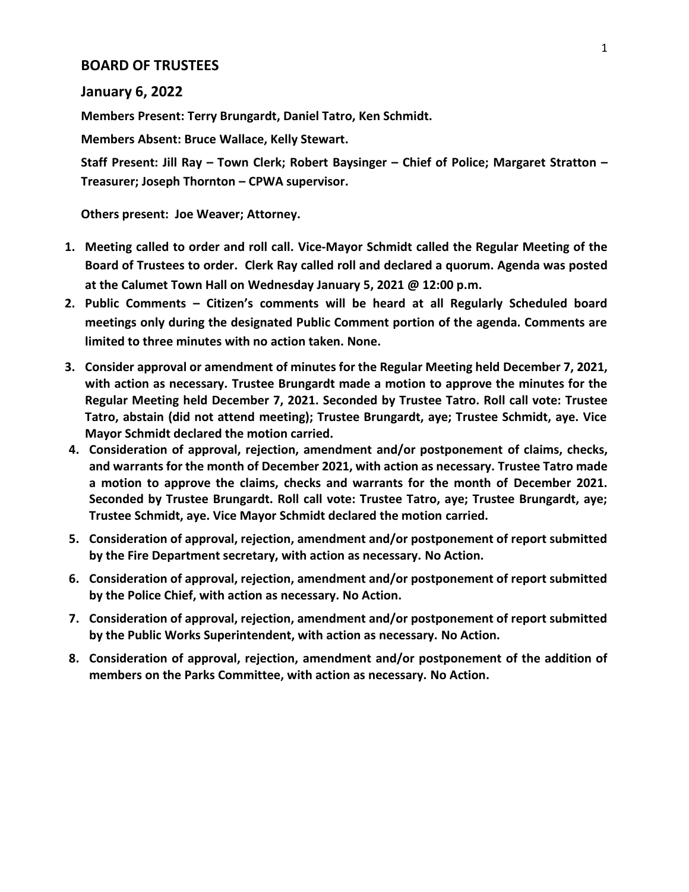## **BOARD OF TRUSTEES**

## **January 6, 2022**

**Members Present: Terry Brungardt, Daniel Tatro, Ken Schmidt.**

**Members Absent: Bruce Wallace, Kelly Stewart.**

**Staff Present: Jill Ray – Town Clerk; Robert Baysinger – Chief of Police; Margaret Stratton – Treasurer; Joseph Thornton – CPWA supervisor.**

**Others present: Joe Weaver; Attorney.**

- **1. Meeting called to order and roll call. Vice-Mayor Schmidt called the Regular Meeting of the Board of Trustees to order. Clerk Ray called roll and declared a quorum. Agenda was posted at the Calumet Town Hall on Wednesday January 5, 2021 @ 12:00 p.m.**
- **2. Public Comments – Citizen's comments will be heard at all Regularly Scheduled board meetings only during the designated Public Comment portion of the agenda. Comments are limited to three minutes with no action taken. None.**
- **3. Consider approval or amendment of minutes for the Regular Meeting held December 7, 2021, with action as necessary. Trustee Brungardt made a motion to approve the minutes for the Regular Meeting held December 7, 2021. Seconded by Trustee Tatro. Roll call vote: Trustee Tatro, abstain (did not attend meeting); Trustee Brungardt, aye; Trustee Schmidt, aye. Vice Mayor Schmidt declared the motion carried.**
- **4. Consideration of approval, rejection, amendment and/or postponement of claims, checks, and warrants for the month of December 2021, with action as necessary. Trustee Tatro made a motion to approve the claims, checks and warrants for the month of December 2021. Seconded by Trustee Brungardt. Roll call vote: Trustee Tatro, aye; Trustee Brungardt, aye; Trustee Schmidt, aye. Vice Mayor Schmidt declared the motion carried.**
- **5. Consideration of approval, rejection, amendment and/or postponement of report submitted by the Fire Department secretary, with action as necessary. No Action.**
- **6. Consideration of approval, rejection, amendment and/or postponement of report submitted by the Police Chief, with action as necessary. No Action.**
- **7. Consideration of approval, rejection, amendment and/or postponement of report submitted by the Public Works Superintendent, with action as necessary. No Action.**
- **8. Consideration of approval, rejection, amendment and/or postponement of the addition of members on the Parks Committee, with action as necessary. No Action.**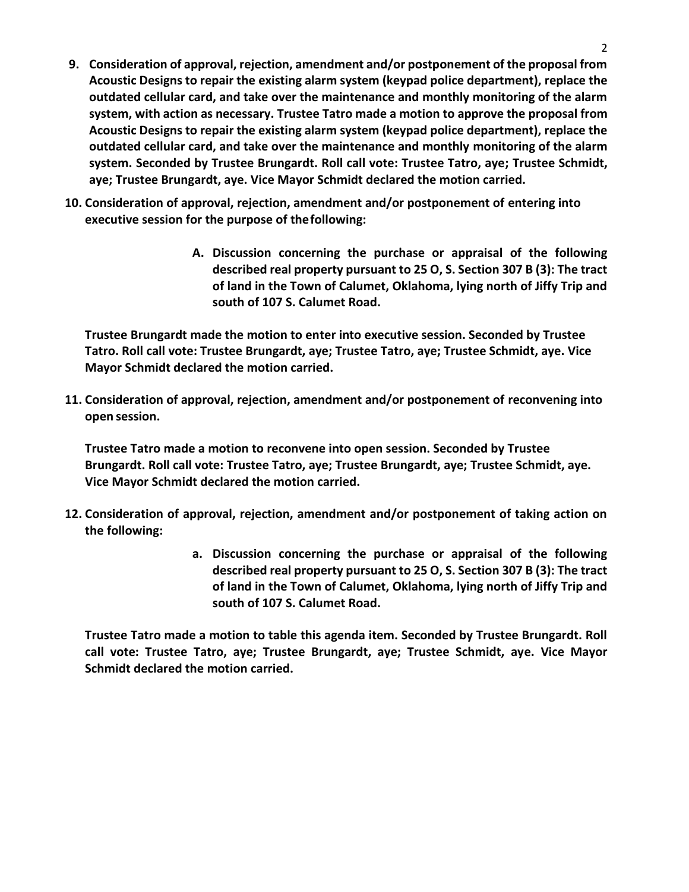- **9. Consideration of approval, rejection, amendment and/or postponement of the proposal from Acoustic Designs to repair the existing alarm system (keypad police department), replace the outdated cellular card, and take over the maintenance and monthly monitoring of the alarm system, with action as necessary. Trustee Tatro made a motion to approve the proposal from Acoustic Designs to repair the existing alarm system (keypad police department), replace the outdated cellular card, and take over the maintenance and monthly monitoring of the alarm system. Seconded by Trustee Brungardt. Roll call vote: Trustee Tatro, aye; Trustee Schmidt, aye; Trustee Brungardt, aye. Vice Mayor Schmidt declared the motion carried.**
- **10. Consideration of approval, rejection, amendment and/or postponement of entering into executive session for the purpose of thefollowing:**
	- **A. Discussion concerning the purchase or appraisal of the following described real property pursuant to 25 O, S. Section 307 B (3): The tract of land in the Town of Calumet, Oklahoma, lying north of Jiffy Trip and south of 107 S. Calumet Road.**

**Trustee Brungardt made the motion to enter into executive session. Seconded by Trustee Tatro. Roll call vote: Trustee Brungardt, aye; Trustee Tatro, aye; Trustee Schmidt, aye. Vice Mayor Schmidt declared the motion carried.**

**11. Consideration of approval, rejection, amendment and/or postponement of reconvening into open session.**

**Trustee Tatro made a motion to reconvene into open session. Seconded by Trustee Brungardt. Roll call vote: Trustee Tatro, aye; Trustee Brungardt, aye; Trustee Schmidt, aye. Vice Mayor Schmidt declared the motion carried.**

- **12. Consideration of approval, rejection, amendment and/or postponement of taking action on the following:**
	- **a. Discussion concerning the purchase or appraisal of the following described real property pursuant to 25 O, S. Section 307 B (3): The tract of land in the Town of Calumet, Oklahoma, lying north of Jiffy Trip and south of 107 S. Calumet Road.**

**Trustee Tatro made a motion to table this agenda item. Seconded by Trustee Brungardt. Roll call vote: Trustee Tatro, aye; Trustee Brungardt, aye; Trustee Schmidt, aye. Vice Mayor Schmidt declared the motion carried.**